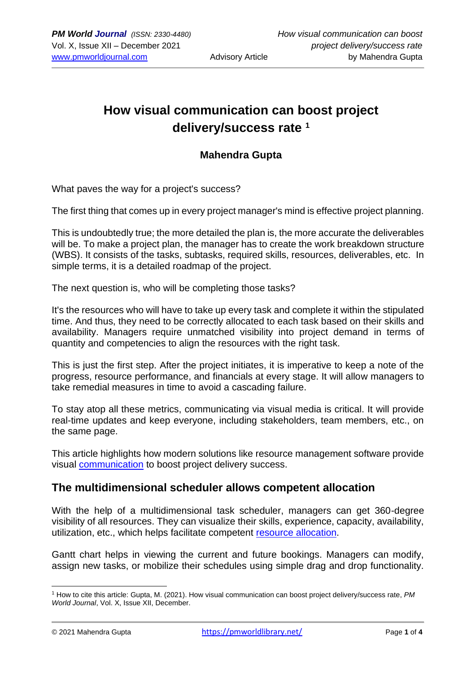# **How visual communication can boost project delivery/success rate <sup>1</sup>**

#### **Mahendra Gupta**

What paves the way for a project's success?

The first thing that comes up in every project manager's mind is effective project planning.

This is undoubtedly true; the more detailed the plan is, the more accurate the deliverables will be. To make a project plan, the manager has to create the work breakdown structure (WBS). It consists of the tasks, subtasks, required skills, resources, deliverables, etc. In simple terms, it is a detailed roadmap of the project.

The next question is, who will be completing those tasks?

It's the resources who will have to take up every task and complete it within the stipulated time. And thus, they need to be correctly allocated to each task based on their skills and availability. Managers require unmatched visibility into project demand in terms of quantity and competencies to align the resources with the right task.

This is just the first step. After the project initiates, it is imperative to keep a note of the progress, resource performance, and financials at every stage. It will allow managers to take remedial measures in time to avoid a cascading failure.

To stay atop all these metrics, communicating via visual media is critical. It will provide real-time updates and keep everyone, including stakeholders, team members, etc., on the same page.

This article highlights how modern solutions like resource management software provide visual [communication](https://www.google.com/url?client=internal-element-cse&cx=014225300941493568312:zi8cxi4vbb0&q=https://pmworldlibrary.net/wp-content/uploads/2021/05/pmwj105-may2021-Pirozzi-Pirozzi-Online-Communication-to-Increase-ProjectValue.pdf&sa=U&ved=2ahUKEwjBlLq375H0AhXoxzgGHUOAC20QFnoECAgQAQ&usg=AOvVaw1QMmg7ISBqLQhI_MF71mVE) to boost project delivery success.

#### **The multidimensional scheduler allows competent allocation**

With the help of a multidimensional task scheduler, managers can get 360-degree visibility of all resources. They can visualize their skills, experience, capacity, availability, utilization, etc., which helps facilitate competent [resource al](https://www.saviom.com/blog/resource-allocation-a-guide-on-how-to-apply-it-on-project-management/)location.

Gantt chart helps in viewing the current and future bookings. Managers can modify, assign new tasks, or mobilize their schedules using simple drag and drop functionality.

<sup>1</sup> How to cite this article: Gupta, M. (2021). How visual communication can boost project delivery/success rate, *PM World Journal*, Vol. X, Issue XII, December.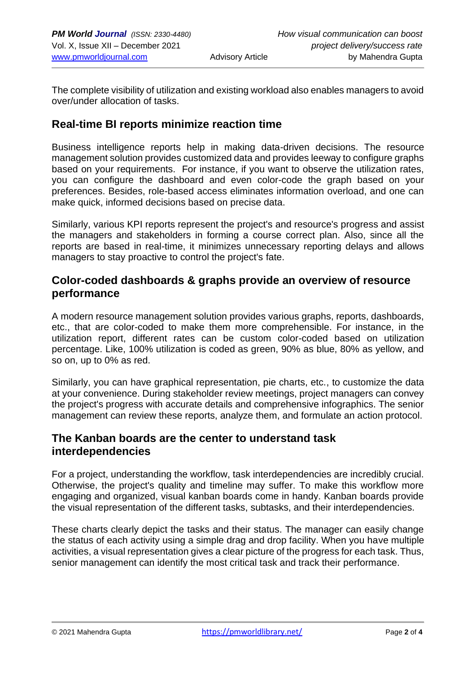The complete visibility of utilization and existing workload also enables managers to avoid over/under allocation of tasks.

#### **Real-time BI reports minimize reaction time**

Business intelligence reports help in making data-driven decisions. The resource management solution provides customized data and provides leeway to configure graphs based on your requirements. For instance, if you want to observe the utilization rates, you can configure the dashboard and even color-code the graph based on your preferences. Besides, role-based access eliminates information overload, and one can make quick, informed decisions based on precise data.

Similarly, various KPI reports represent the project's and resource's progress and assist the managers and stakeholders in forming a course correct plan. Also, since all the reports are based in real-time, it minimizes unnecessary reporting delays and allows managers to stay proactive to control the project's fate.

### **Color-coded dashboards & graphs provide an overview of resource performance**

A modern resource management solution provides various graphs, reports, dashboards, etc., that are color-coded to make them more comprehensible. For instance, in the utilization report, different rates can be custom color-coded based on utilization percentage. Like, 100% utilization is coded as green, 90% as blue, 80% as yellow, and so on, up to 0% as red.

Similarly, you can have graphical representation, pie charts, etc., to customize the data at your convenience. During stakeholder review meetings, project managers can convey the project's progress with accurate details and comprehensive infographics. The senior management can review these reports, analyze them, and formulate an action protocol.

#### **The Kanban boards are the center to understand task interdependencies**

For a project, understanding the workflow, task interdependencies are incredibly crucial. Otherwise, the project's quality and timeline may suffer. To make this workflow more engaging and organized, visual kanban boards come in handy. Kanban boards provide the visual representation of the different tasks, subtasks, and their interdependencies.

These charts clearly depict the tasks and their status. The manager can easily change the status of each activity using a simple drag and drop facility. When you have multiple activities, a visual representation gives a clear picture of the progress for each task. Thus, senior management can identify the most critical task and track their performance.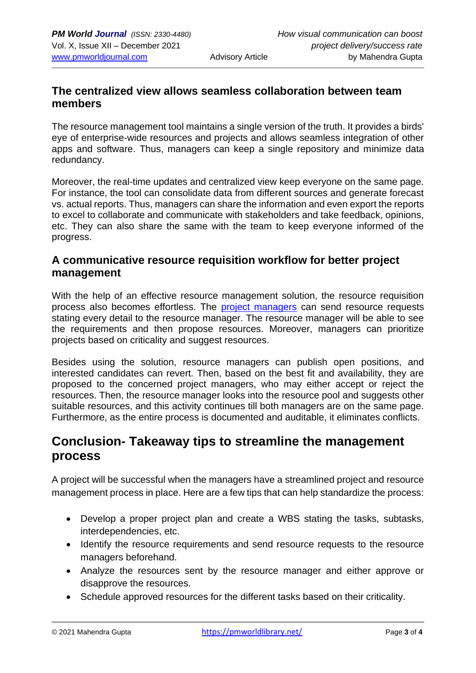# **The centralized view allows seamless collaboration between team members**

The resource management tool maintains a single version of the truth. It provides a birds' eye of enterprise-wide resources and projects and allows seamless integration of other apps and software. Thus, managers can keep a single repository and minimize data redundancy.

Moreover, the real-time updates and centralized view keep everyone on the same page. For instance, the tool can consolidate data from different sources and generate forecast vs. actual reports. Thus, managers can share the information and even export the reports to excel to collaborate and communicate with stakeholders and take feedback, opinions, etc. They can also share the same with the team to keep everyone informed of the progress.

# **A communicative resource requisition workflow for better project management**

With the help of an effective resource management solution, the resource requisition process also becomes effortless. The [project managers](https://www.google.com/url?client=internal-element-cse&cx=014225300941493568312:zi8cxi4vbb0&q=https://pmworldlibrary.net/wp-content/uploads/2018/08/pmwj73-Aug2018-Youker-job-of-project-manager-second-edition.pdf&sa=U&ved=2ahUKEwi-i-GP8JH0AhWXzzgGHdhOAV44HhAWegQIAhAB&usg=AOvVaw0lvG47AqeVR9YUFM9aC_y3) can send resource requests stating every detail to the resource manager. The resource manager will be able to see the requirements and then propose resources. Moreover, managers can prioritize projects based on criticality and suggest resources.

Besides using the solution, resource managers can publish open positions, and interested candidates can revert. Then, based on the best fit and availability, they are proposed to the concerned project managers, who may either accept or reject the resources. Then, the resource manager looks into the resource pool and suggests other suitable resources, and this activity continues till both managers are on the same page. Furthermore, as the entire process is documented and auditable, it eliminates conflicts.

# **Conclusion- Takeaway tips to streamline the management process**

A project will be successful when the managers have a streamlined project and resource management process in place. Here are a few tips that can help standardize the process:

- Develop a proper project plan and create a WBS stating the tasks, subtasks, interdependencies, etc.
- Identify the resource requirements and send resource requests to the resource managers beforehand.
- Analyze the resources sent by the resource manager and either approve or disapprove the resources.
- Schedule approved resources for the different tasks based on their criticality.